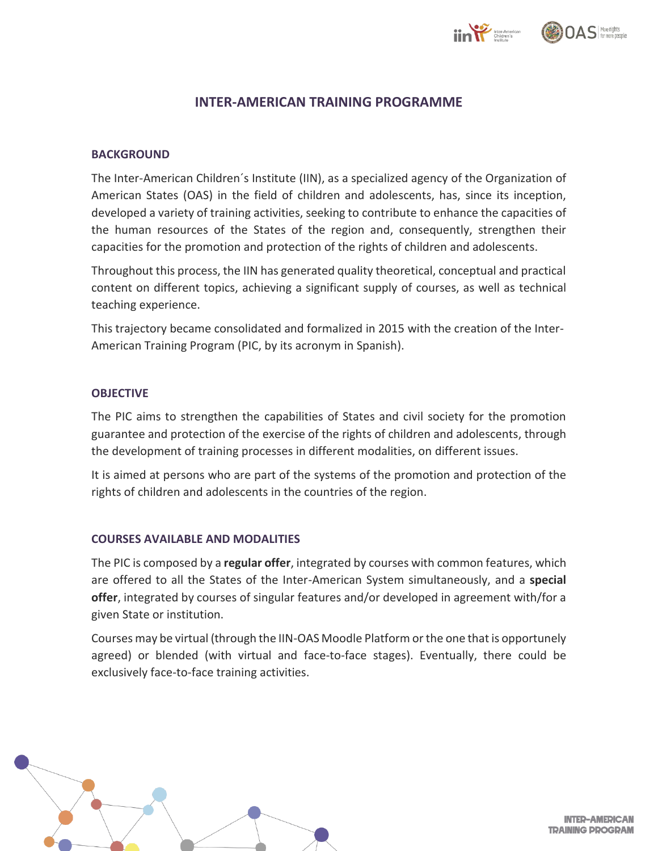



## **INTER-AMERICAN TRAINING PROGRAMME**

#### **BACKGROUND**

The Inter-American Children´s Institute (IIN), as a specialized agency of the Organization of American States (OAS) in the field of children and adolescents, has, since its inception, developed a variety of training activities, seeking to contribute to enhance the capacities of the human resources of the States of the region and, consequently, strengthen their capacities for the promotion and protection of the rights of children and adolescents.

Throughout this process, the IIN has generated quality theoretical, conceptual and practical content on different topics, achieving a significant supply of courses, as well as technical teaching experience.

This trajectory became consolidated and formalized in 2015 with the creation of the Inter-American Training Program (PIC, by its acronym in Spanish).

#### **OBJECTIVE**

The PIC aims to strengthen the capabilities of States and civil society for the promotion guarantee and protection of the exercise of the rights of children and adolescents, through the development of training processes in different modalities, on different issues.

It is aimed at persons who are part of the systems of the promotion and protection of the rights of children and adolescents in the countries of the region.

#### **COURSES AVAILABLE AND MODALITIES**

The PIC is composed by a **regular offer**, integrated by courses with common features, which are offered to all the States of the Inter-American System simultaneously, and a **special offer**, integrated by courses of singular features and/or developed in agreement with/for a given State or institution.

Courses may be virtual (through the IIN-OAS Moodle Platform orthe one that is opportunely agreed) or blended (with virtual and face-to-face stages). Eventually, there could be exclusively face-to-face training activities.



**INTER-AMERICAN TRAINING PROGRAM**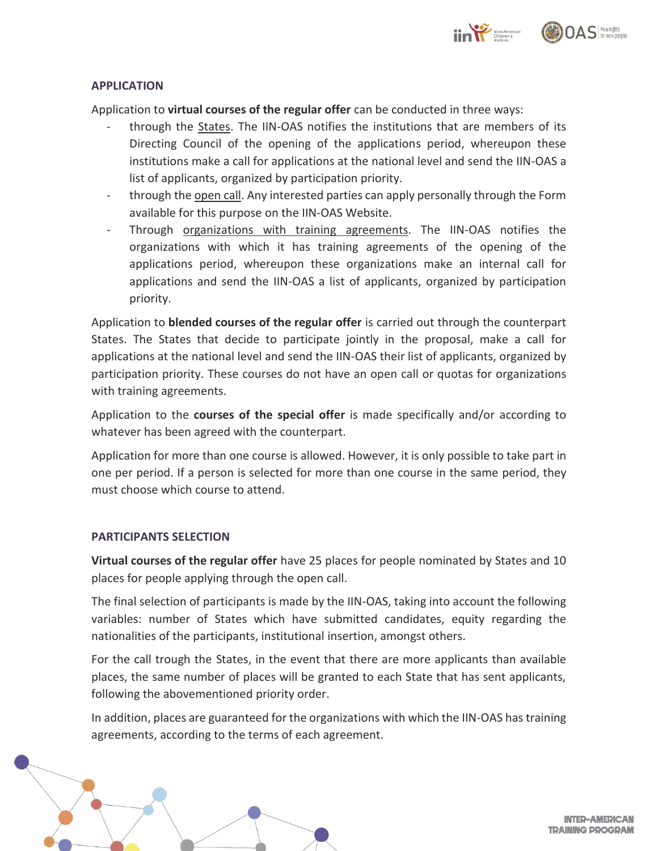

#### **APPLICATION**

Application to **virtual courses of the regular offer** can be conducted in three ways:

- through the States. The IIN-OAS notifies the institutions that are members of its Directing Council of the opening of the applications period, whereupon these institutions make a call for applications at the national level and send the IIN-OAS a list of applicants, organized by participation priority.
- through the open call. Any interested parties can apply personally through the Form available for this purpose on the IIN-OAS Website.
- Through organizations with training agreements. The IIN-OAS notifies the organizations with which it has training agreements of the opening of the applications period, whereupon these organizations make an internal call for applications and send the IIN-OAS a list of applicants, organized by participation priority.

Application to **blended courses of the regular offer** is carried out through the counterpart States. The States that decide to participate jointly in the proposal, make a call for applications at the national level and send the IIN-OAS their list of applicants, organized by participation priority. These courses do not have an open call or quotas for organizations with training agreements.

Application to the **courses of the special offer** is made specifically and/or according to whatever has been agreed with the counterpart.

Application for more than one course is allowed. However, it is only possible to take part in one per period. If a person is selected for more than one course in the same period, they must choose which course to attend.

#### **PARTICIPANTS SELECTION**

**Virtual courses of the regular offer** have 25 places for people nominated by States and 10 places for people applying through the open call.

The final selection of participants is made by the IIN-OAS, taking into account the following variables: number of States which have submitted candidates, equity regarding the nationalities of the participants, institutional insertion, amongst others.

For the call trough the States, in the event that there are more applicants than available places, the same number of places will be granted to each State that has sent applicants, following the abovementioned priority order.

In addition, places are guaranteed for the organizations with which the IIN-OAS has training agreements, according to the terms of each agreement.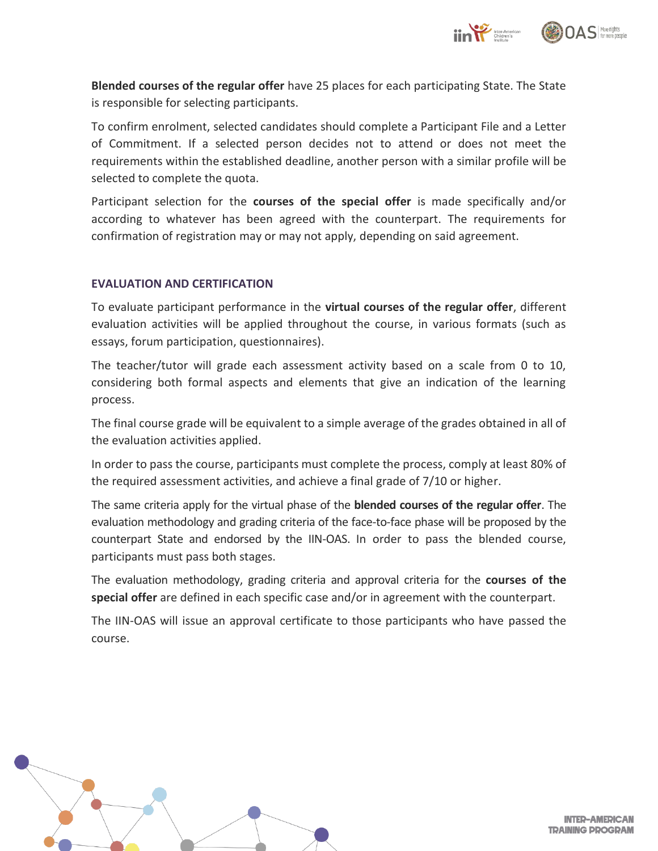

**Blended courses of the regular offer** have 25 places for each participating State. The State is responsible for selecting participants.

To confirm enrolment, selected candidates should complete a Participant File and a Letter of Commitment. If a selected person decides not to attend or does not meet the requirements within the established deadline, another person with a similar profile will be selected to complete the quota.

Participant selection for the **courses of the special offer** is made specifically and/or according to whatever has been agreed with the counterpart. The requirements for confirmation of registration may or may not apply, depending on said agreement.

#### **EVALUATION AND CERTIFICATION**

To evaluate participant performance in the **virtual courses of the regular offer**, different evaluation activities will be applied throughout the course, in various formats (such as essays, forum participation, questionnaires).

The teacher/tutor will grade each assessment activity based on a scale from 0 to 10, considering both formal aspects and elements that give an indication of the learning process.

The final course grade will be equivalent to a simple average of the grades obtained in all of the evaluation activities applied.

In order to pass the course, participants must complete the process, comply at least 80% of the required assessment activities, and achieve a final grade of 7/10 or higher.

The same criteria apply for the virtual phase of the **blended courses of the regular offer**. The evaluation methodology and grading criteria of the face-to-face phase will be proposed by the counterpart State and endorsed by the IIN-OAS. In order to pass the blended course, participants must pass both stages.

The evaluation methodology, grading criteria and approval criteria for the **courses of the special offer** are defined in each specific case and/or in agreement with the counterpart.

The IIN-OAS will issue an approval certificate to those participants who have passed the course.



**INTER-AMERICAN TRAINING PROGRAM**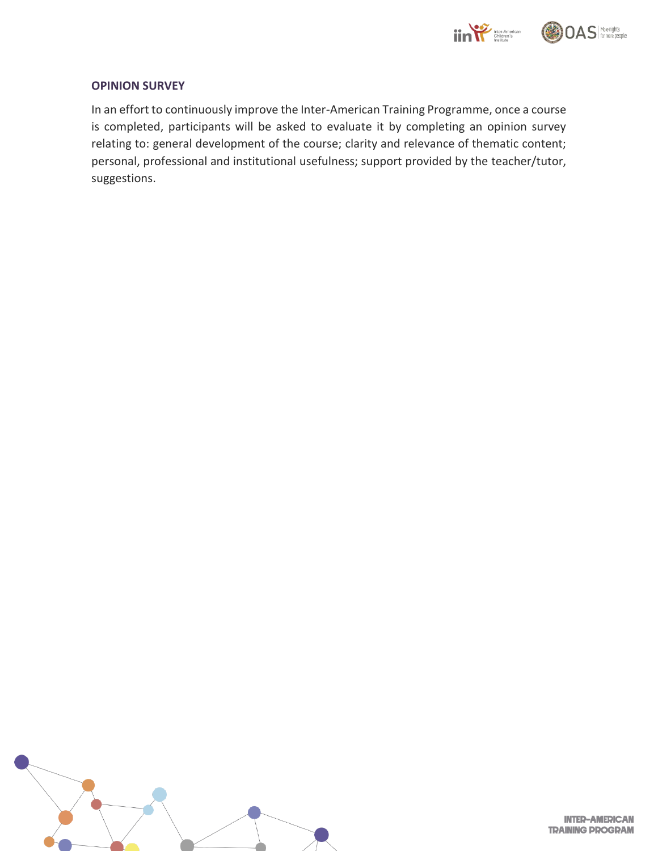

#### **OPINION SURVEY**

In an effort to continuously improve the Inter-American Training Programme, once a course is completed, participants will be asked to evaluate it by completing an opinion survey relating to: general development of the course; clarity and relevance of thematic content; personal, professional and institutional usefulness; support provided by the teacher/tutor, suggestions.



**INTER-AMERICAN TRAINING PROGRAM**